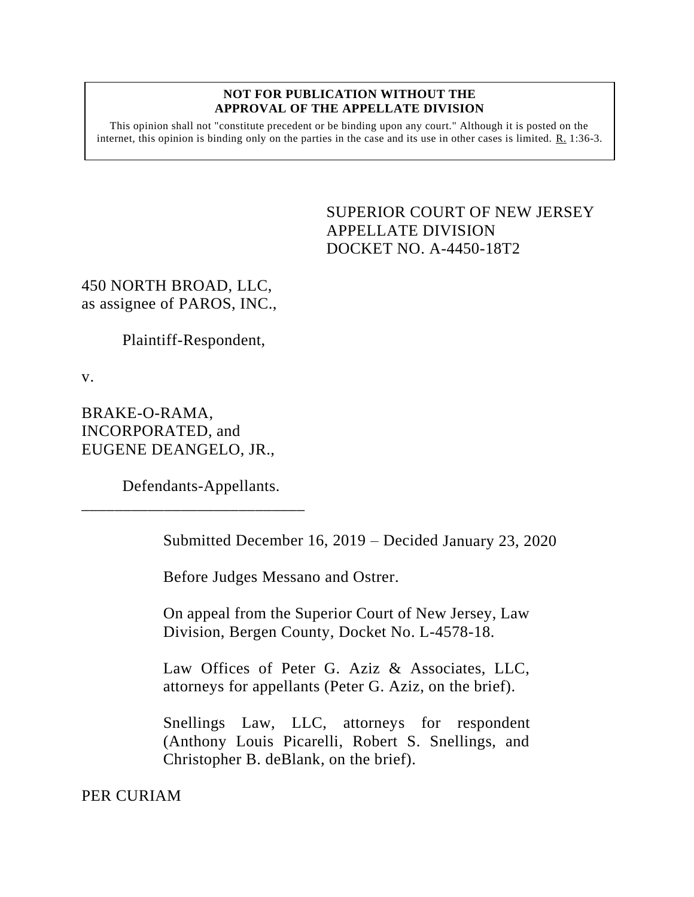## **NOT FOR PUBLICATION WITHOUT THE APPROVAL OF THE APPELLATE DIVISION**

This opinion shall not "constitute precedent or be binding upon any court." Although it is posted on the internet, this opinion is binding only on the parties in the case and its use in other cases is limited. R. 1:36-3.

> <span id="page-0-0"></span>SUPERIOR COURT OF NEW JERSEY APPELLATE DIVISION DOCKET NO. A-4450-18T2

450 NORTH BROAD, LLC, as assignee of PAROS, INC.,

Plaintiff-Respondent,

v.

BRAKE-O-RAMA, INCORPORATED, and EUGENE DEANGELO, JR.,

Defendants-Appellants.

\_\_\_\_\_\_\_\_\_\_\_\_\_\_\_\_\_\_\_\_\_\_\_\_\_\_\_

Submitted December 16, 2019 – Decided January 23, 2020

Before Judges Messano and Ostrer.

On appeal from the Superior Court of New Jersey, Law Division, Bergen County, Docket No. L-4578-18.

Law Offices of Peter G. Aziz & Associates, LLC, attorneys for appellants (Peter G. Aziz, on the brief).

Snellings Law, LLC, attorneys for respondent (Anthony Louis Picarelli, Robert S. Snellings, and Christopher B. deBlank, on the brief).

PER CURIAM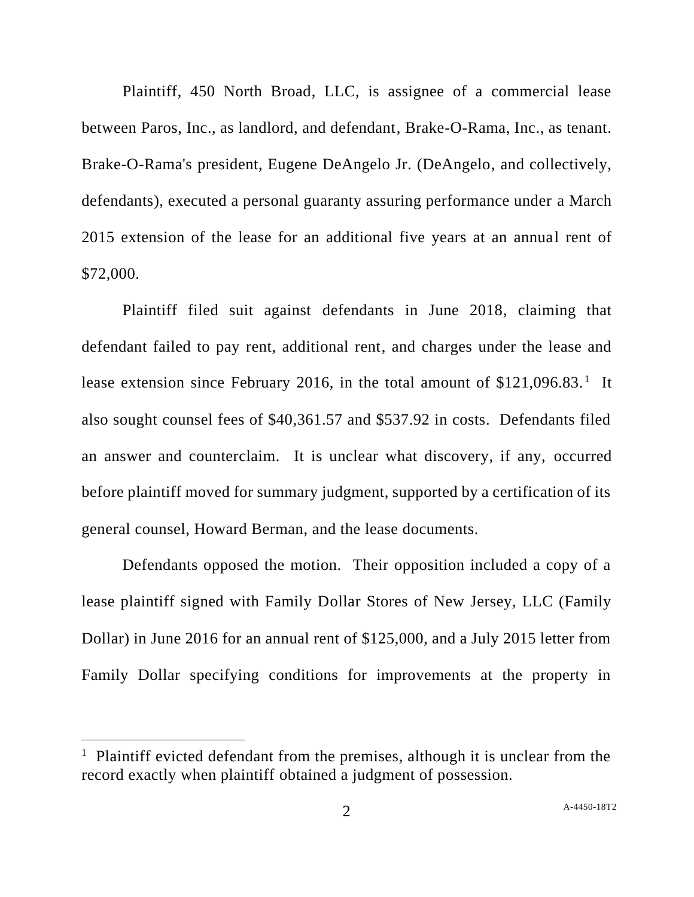Plaintiff, 450 North Broad, LLC, is assignee of a commercial lease between Paros, Inc., as landlord, and defendant, Brake-O-Rama, Inc., as tenant. Brake-O-Rama's president, Eugene DeAngelo Jr. (DeAngelo, and collectively, defendants), executed a personal guaranty assuring performance under a March 2015 extension of the lease for an additional five years at an annual rent of \$72,000.

Plaintiff filed suit against defendants in June 2018, claiming that defendant failed to pay rent, additional rent, and charges under the lease and lease extension since February 2016, in the total amount of  $$121,096.83$ <sup>1</sup> It also sought counsel fees of \$40,361.57 and \$537.92 in costs. Defendants filed an answer and counterclaim. It is unclear what discovery, if any, occurred before plaintiff moved for summary judgment, supported by a certification of its general counsel, Howard Berman, and the lease documents.

Defendants opposed the motion. Their opposition included a copy of a lease plaintiff signed with Family Dollar Stores of New Jersey, LLC (Family Dollar) in June 2016 for an annual rent of \$125,000, and a July 2015 letter from Family Dollar specifying conditions for improvements at the property in

<sup>&</sup>lt;sup>1</sup> Plaintiff evicted defendant from the premises, although it is unclear from the record exactly when plaintiff obtained a judgment of possession.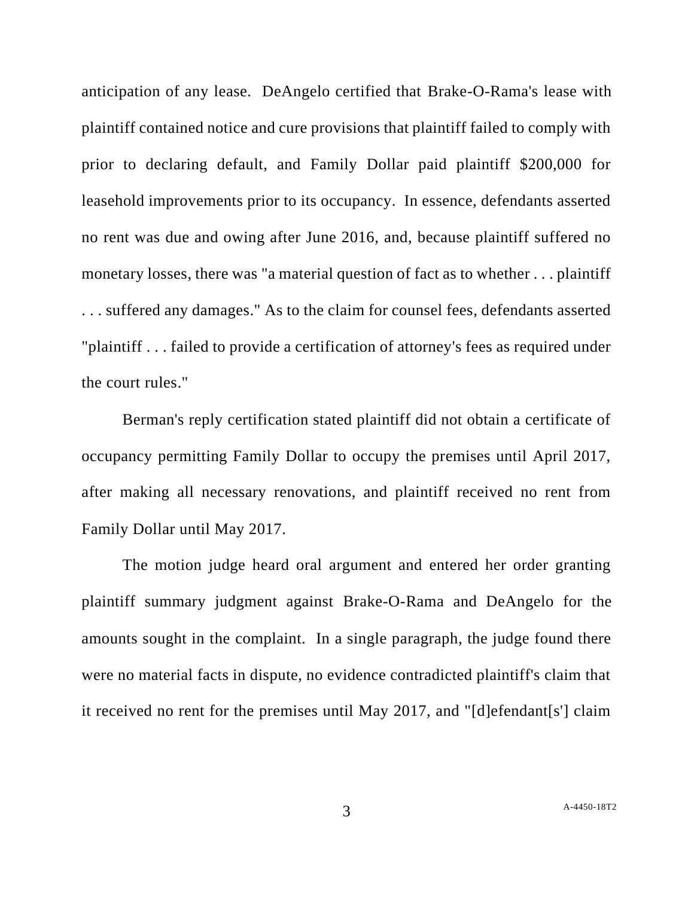anticipation of any lease. DeAngelo certified that Brake-O-Rama's lease with plaintiff contained notice and cure provisions that plaintiff failed to comply with prior to declaring default, and Family Dollar paid plaintiff \$200,000 for leasehold improvements prior to its occupancy. In essence, defendants asserted no rent was due and owing after June 2016, and, because plaintiff suffered no monetary losses, there was "a material question of fact as to whether . . . plaintiff . . . suffered any damages." As to the claim for counsel fees, defendants asserted "plaintiff . . . failed to provide a certification of attorney's fees as required under the court rules."

Berman's reply certification stated plaintiff did not obtain a certificate of occupancy permitting Family Dollar to occupy the premises until April 2017, after making all necessary renovations, and plaintiff received no rent from Family Dollar until May 2017.

The motion judge heard oral argument and entered her order granting plaintiff summary judgment against Brake-O-Rama and DeAngelo for the amounts sought in the complaint. In a single paragraph, the judge found there were no material facts in dispute, no evidence contradicted plaintiff's claim that it received no rent for the premises until May 2017, and "[d]efendant[s'] claim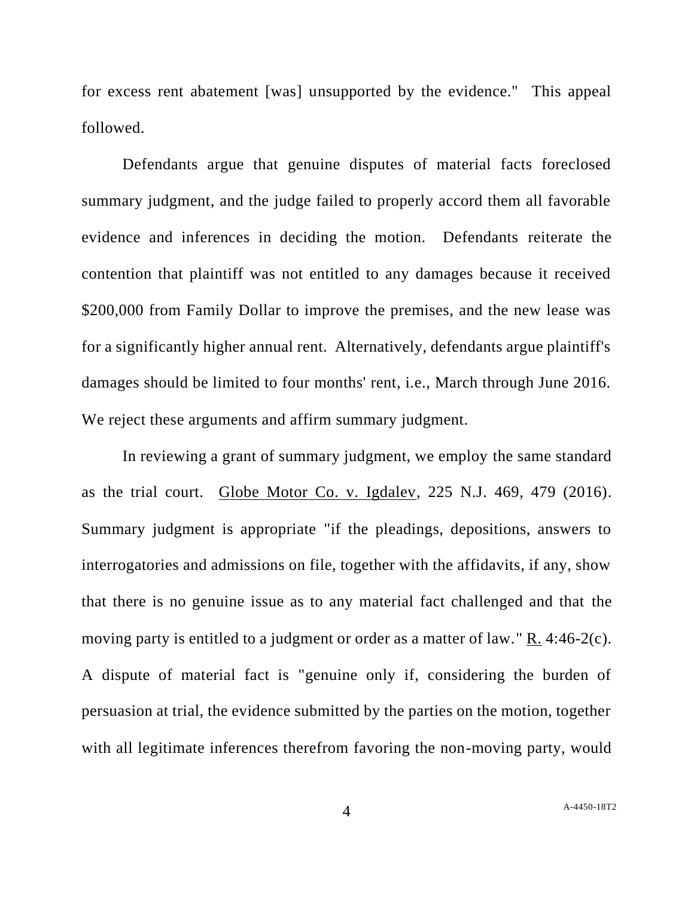for excess rent abatement [was] unsupported by the evidence." This appeal followed.

Defendants argue that genuine disputes of material facts foreclosed summary judgment, and the judge failed to properly accord them all favorable evidence and inferences in deciding the motion. Defendants reiterate the contention that plaintiff was not entitled to any damages because it received \$200,000 from Family Dollar to improve the premises, and the new lease was for a significantly higher annual rent. Alternatively, defendants argue plaintiff's damages should be limited to four months' rent, i.e., March through June 2016. We reject these arguments and affirm summary judgment.

In reviewing a grant of summary judgment, we employ the same standard as the trial court. Globe Motor Co. v. Igdalev, 225 N.J. 469, 479 (2016). Summary judgment is appropriate "if the pleadings, depositions, answers to interrogatories and admissions on file, together with the affidavits, if any, show that there is no genuine issue as to any material fact challenged and that the moving party is entitled to a judgment or order as a matter of law." R. 4:46-2(c). A dispute of material fact is "genuine only if, considering the burden of persuasion at trial, the evidence submitted by the parties on the motion, together with all legitimate inferences therefrom favoring the non-moving party, would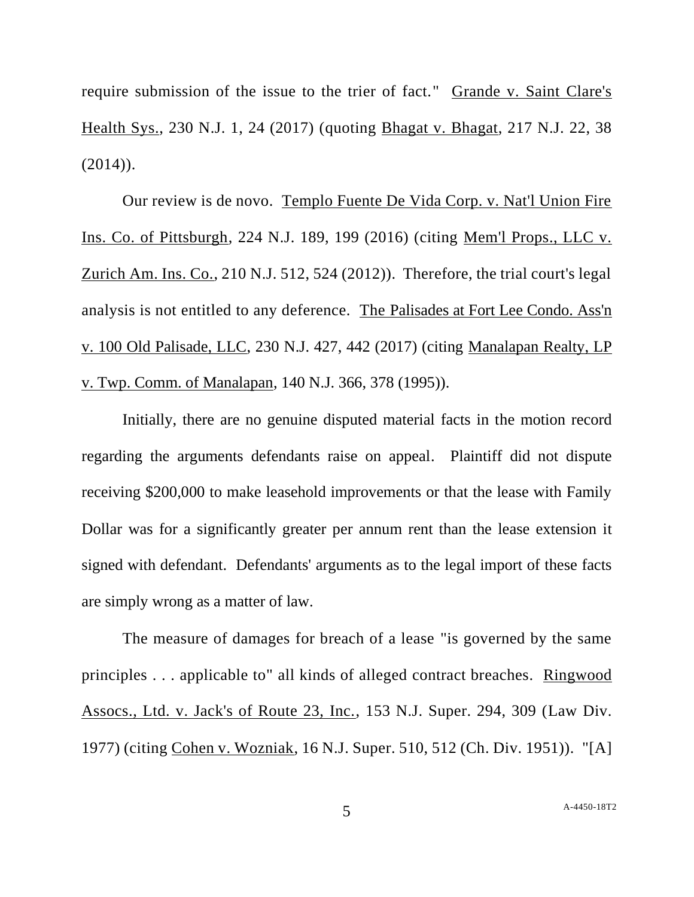require submission of the issue to the trier of fact." Grande v. Saint Clare's Health Sys., 230 N.J. 1, 24 (2017) (quoting Bhagat v. Bhagat, 217 N.J. 22, 38  $(2014)$ .

Our review is de novo. Templo Fuente De Vida Corp. v. Nat'l Union Fire Ins. Co. of Pittsburgh, 224 N.J. 189, 199 (2016) (citing Mem'l Props., LLC v. Zurich Am. Ins. Co., 210 N.J. 512, 524 (2012)). Therefore, the trial court's legal analysis is not entitled to any deference. The Palisades at Fort Lee Condo. Ass'n v. 100 Old Palisade, LLC, 230 N.J. 427, 442 (2017) (citing Manalapan Realty, LP v. Twp. Comm. of Manalapan, 140 N.J. 366, 378 (1995)).

Initially, there are no genuine disputed material facts in the motion record regarding the arguments defendants raise on appeal. Plaintiff did not dispute receiving \$200,000 to make leasehold improvements or that the lease with Family Dollar was for a significantly greater per annum rent than the lease extension it signed with defendant. Defendants' arguments as to the legal import of these facts are simply wrong as a matter of law.

The measure of damages for breach of a lease "is governed by the same principles . . . applicable to" all kinds of alleged contract breaches. Ringwood Assocs., Ltd. v. Jack's of Route 23, Inc., 153 N.J. Super. 294, 309 (Law Div. 1977) (citing Cohen v. Wozniak, 16 N.J. Super. 510, 512 (Ch. Div. 1951)). "[A]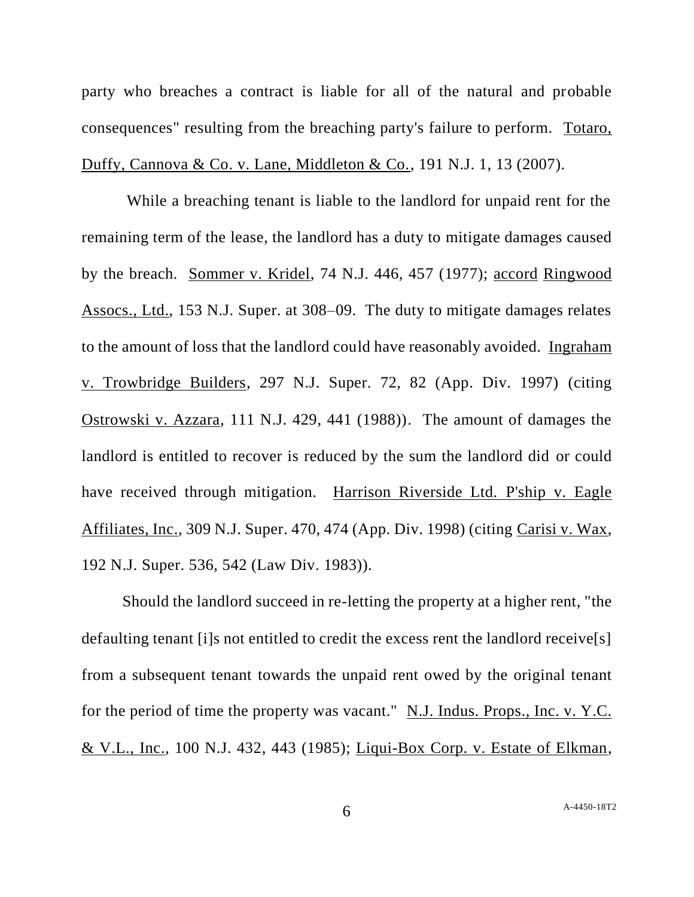party who breaches a contract is liable for all of the natural and probable consequences" resulting from the breaching party's failure to perform. Totaro, Duffy, Cannova & Co. v. Lane, Middleton & Co., 191 N.J. 1, 13 (2007).

While a breaching tenant is liable to the landlord for unpaid rent for the remaining term of the lease, the landlord has a duty to mitigate damages caused by the breach. Sommer v. Kridel, 74 N.J. 446, 457 (1977); accord Ringwood Assocs., Ltd., 153 N.J. Super. at 308–09. The duty to mitigate damages relates to the amount of loss that the landlord could have reasonably avoided. Ingraham v. Trowbridge Builders, 297 N.J. Super. 72, 82 (App. Div. 1997) (citing Ostrowski v. Azzara, 111 N.J. 429, 441 (1988)). The amount of damages the landlord is entitled to recover is reduced by the sum the landlord did or could have received through mitigation. Harrison Riverside Ltd. P'ship v. Eagle Affiliates, Inc., 309 N.J. Super. 470, 474 (App. Div. 1998) (citing Carisi v. Wax, 192 N.J. Super. 536, 542 (Law Div. 1983)).

Should the landlord succeed in re-letting the property at a higher rent, "the defaulting tenant [i]s not entitled to credit the excess rent the landlord receive[s] from a subsequent tenant towards the unpaid rent owed by the original tenant for the period of time the property was vacant." N.J. Indus. Props., Inc. v. Y.C. & V.L., Inc., 100 N.J. 432, 443 (1985); Liqui-Box Corp. v. Estate of Elkman,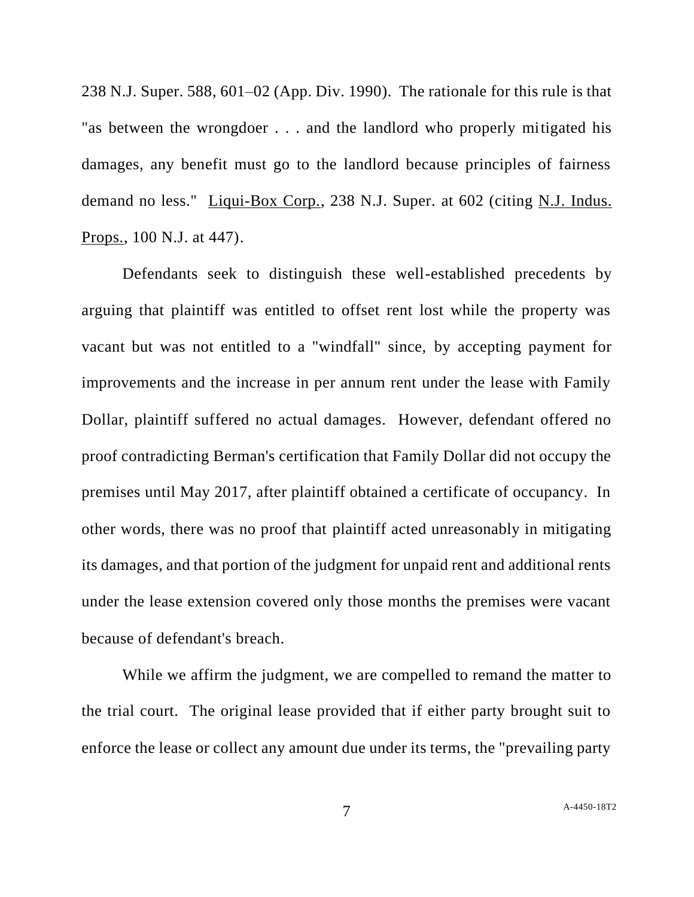238 N.J. Super. 588, 601–02 (App. Div. 1990). The rationale for this rule is that "as between the wrongdoer . . . and the landlord who properly mitigated his damages, any benefit must go to the landlord because principles of fairness demand no less." Liqui-Box Corp., 238 N.J. Super. at 602 (citing N.J. Indus. Props., 100 N.J. at 447).

Defendants seek to distinguish these well-established precedents by arguing that plaintiff was entitled to offset rent lost while the property was vacant but was not entitled to a "windfall" since, by accepting payment for improvements and the increase in per annum rent under the lease with Family Dollar, plaintiff suffered no actual damages. However, defendant offered no proof contradicting Berman's certification that Family Dollar did not occupy the premises until May 2017, after plaintiff obtained a certificate of occupancy. In other words, there was no proof that plaintiff acted unreasonably in mitigating its damages, and that portion of the judgment for unpaid rent and additional rents under the lease extension covered only those months the premises were vacant because of defendant's breach.

While we affirm the judgment, we are compelled to remand the matter to the trial court. The original lease provided that if either party brought suit to enforce the lease or collect any amount due under its terms, the "prevailing party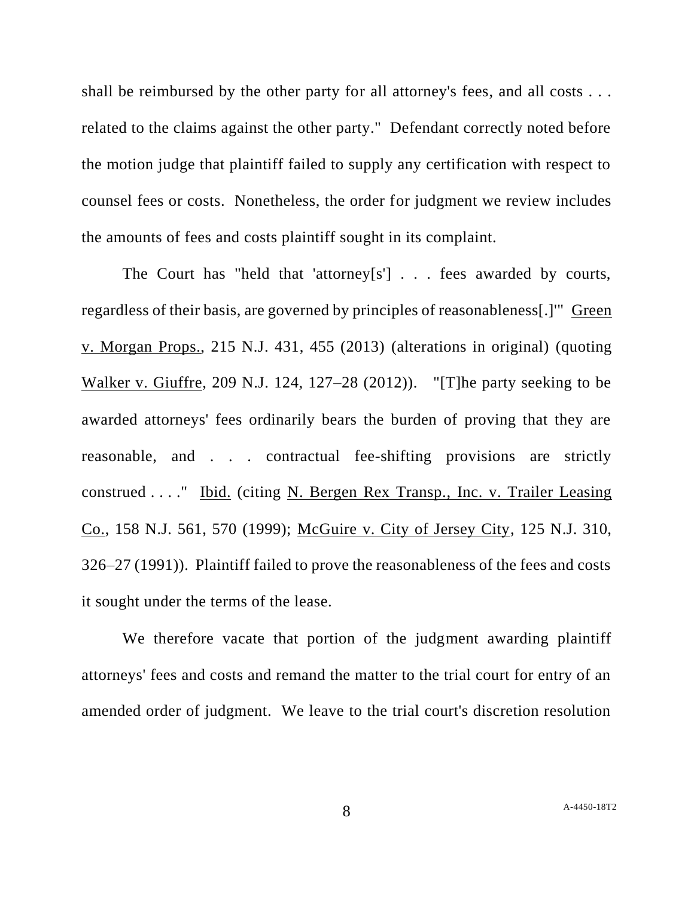shall be reimbursed by the other party for all attorney's fees, and all costs . . . related to the claims against the other party." Defendant correctly noted before the motion judge that plaintiff failed to supply any certification with respect to counsel fees or costs. Nonetheless, the order for judgment we review includes the amounts of fees and costs plaintiff sought in its complaint.

The Court has "held that 'attorney[s'] . . . fees awarded by courts, regardless of their basis, are governed by principles of reasonableness[.]'" Green v. Morgan Props., 215 N.J. 431, 455 (2013) (alterations in original) (quoting Walker v. Giuffre, 209 N.J. 124, 127–28 (2012)). "[T]he party seeking to be awarded attorneys' fees ordinarily bears the burden of proving that they are reasonable, and . . . contractual fee-shifting provisions are strictly construed . . . ." Ibid. (citing N. Bergen Rex Transp., Inc. v. Trailer Leasing Co., 158 N.J. 561, 570 (1999); McGuire v. City of Jersey City, 125 N.J. 310, 326–27 (1991)). Plaintiff failed to prove the reasonableness of the fees and costs it sought under the terms of the lease.

We therefore vacate that portion of the judgment awarding plaintiff attorneys' fees and costs and remand the matter to the trial court for entry of an amended order of judgment. We leave to the trial court's discretion resolution